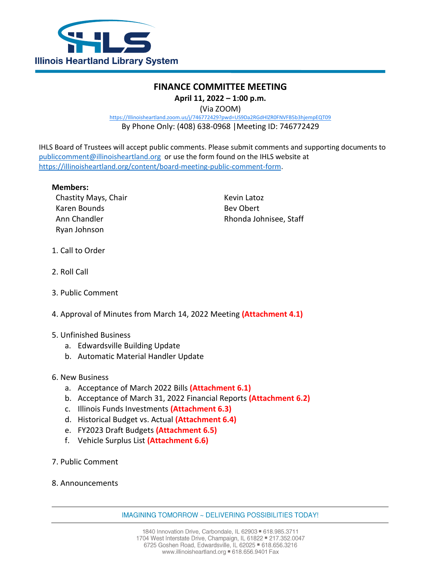

## **FINANCE COMMITTEE MEETING April 11, 2022 – 1:00 p.m.**

(Via ZOOM)

[https://Illinoisheartland.zoom.us/j/746772429?pwd=US9Da2RGdHlZR0FNVFB5b3hjempEQT09](https://illinoisheartland.zoom.us/j/746772429?pwd=US9Da2RGdHlZR0FNVFB5b3hjempEQT09)

By Phone Only: (408) 638-0968 |Meeting ID: 746772429

IHLS Board of Trustees will accept public comments. Please submit comments and supporting documents to [publiccomment@illinoisheartland.org](mailto:publiccomment@illinoisheartland.org) or use the form found on the IHLS website at [https://illinoisheartland.org/content/board-meeting-public-comment-form.](https://illinoisheartland.org/content/board-meeting-public-comment-form)

## **Members:**

Chastity Mays, Chair National Assembly Revin Latoz Karen Bounds **Bev Obert** Ryan Johnson

Ann Chandler **Rhonda Johnisee**, Staff

- 1. Call to Order
- 2. Roll Call
- 3. Public Comment
- 4. Approval of Minutes from March 14, 2022 Meeting **(Attachment 4.1)**
- 5. Unfinished Business
	- a. Edwardsville Building Update
	- b. Automatic Material Handler Update
- 6. New Business
	- a. Acceptance of March 2022 Bills **(Attachment 6.1)**
	- b. Acceptance of March 31, 2022 Financial Reports **(Attachment 6.2)**
	- c. Illinois Funds Investments **(Attachment 6.3)**
	- d. Historical Budget vs. Actual **(Attachment 6.4)**
	- e. FY2023 Draft Budgets **(Attachment 6.5)**
	- f. Vehicle Surplus List **(Attachment 6.6)**
- 7. Public Comment
- 8. Announcements